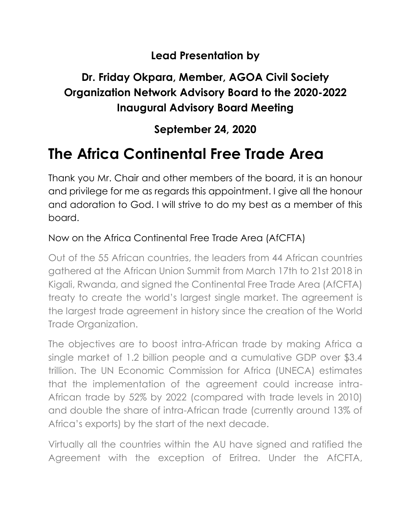### **Lead Presentation by**

## **Dr. Friday Okpara, Member, AGOA Civil Society Organization Network Advisory Board to the 2020-2022 Inaugural Advisory Board Meeting**

## **September 24, 2020**

# **The Africa Continental Free Trade Area**

Thank you Mr. Chair and other members of the board, it is an honour and privilege for me as regards this appointment. I give all the honour and adoration to God. I will strive to do my best as a member of this board.

### Now on the Africa Continental Free Trade Area (AfCFTA)

Out of the 55 African countries, the leaders from 44 African countries gathered at the African Union Summit from March 17th to 21st 2018 in Kigali, Rwanda, and signed the Continental Free Trade Area (AfCFTA) treaty to create the world's largest single market. The agreement is the largest trade agreement in history since the creation of the World Trade Organization.

The objectives are to boost intra-African trade by making Africa a single market of 1.2 billion people and a cumulative GDP over \$3.4 trillion. The UN Economic Commission for Africa (UNECA) estimates that the implementation of the agreement could increase intra-African trade by 52% by 2022 (compared with trade levels in 2010) and double the share of intra-African trade (currently around 13% of Africa's exports) by the start of the next decade.

Virtually all the countries within the AU have signed and ratified the Agreement with the exception of Eritrea. Under the AfCFTA,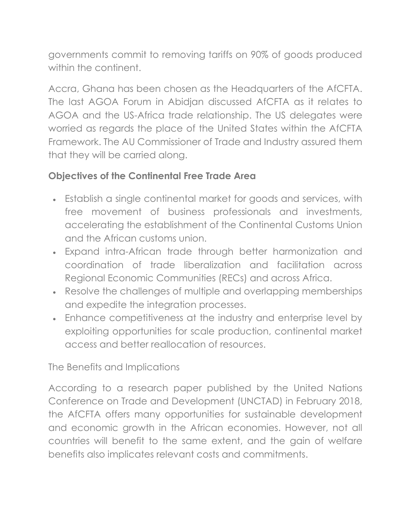governments commit to removing tariffs on 90% of goods produced within the continent.

Accra, Ghana has been chosen as the Headquarters of the AfCFTA. The last AGOA Forum in Abidjan discussed AfCFTA as it relates to AGOA and the US-Africa trade relationship. The US delegates were worried as regards the place of the United States within the AfCFTA Framework. The AU Commissioner of Trade and Industry assured them that they will be carried along.

### **Objectives of the Continental Free Trade Area**

- Establish a single continental market for goods and services, with free movement of business professionals and investments, accelerating the establishment of the Continental Customs Union and the African customs union.
- Expand intra-African trade through better harmonization and coordination of trade liberalization and facilitation across Regional Economic Communities (RECs) and across Africa.
- Resolve the challenges of multiple and overlapping memberships and expedite the integration processes.
- Enhance competitiveness at the industry and enterprise level by exploiting opportunities for scale production, continental market access and better reallocation of resources.

The Benefits and Implications

According to a research paper published by the United Nations Conference on Trade and Development (UNCTAD) in February 2018, the AfCFTA offers many opportunities for sustainable development and economic growth in the African economies. However, not all countries will benefit to the same extent, and the gain of welfare benefits also implicates relevant costs and commitments.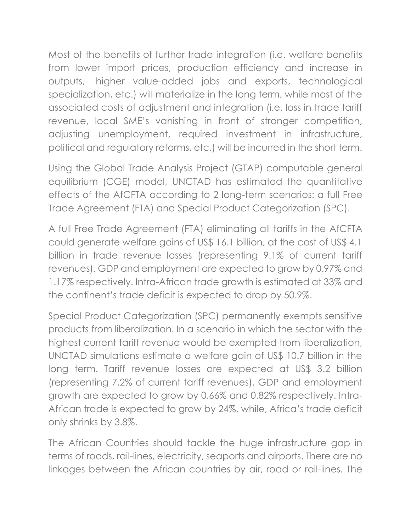Most of the benefits of further trade integration (i.e. welfare benefits from lower import prices, production efficiency and increase in outputs, higher value-added jobs and exports, technological specialization, etc.) will materialize in the long term, while most of the associated costs of adjustment and integration (i.e. loss in trade tariff revenue, local SME's vanishing in front of stronger competition, adjusting unemployment, required investment in infrastructure, political and regulatory reforms, etc.) will be incurred in the short term.

Using the Global Trade Analysis Project (GTAP) computable general equilibrium (CGE) model, UNCTAD has estimated the quantitative effects of the AfCFTA according to 2 long-term scenarios: a full Free Trade Agreement (FTA) and Special Product Categorization (SPC).

A full Free Trade Agreement (FTA) eliminating all tariffs in the AfCFTA could generate welfare gains of US\$ 16.1 billion, at the cost of US\$ 4.1 billion in trade revenue losses (representing 9.1% of current tariff revenues). GDP and employment are expected to grow by 0.97% and 1.17% respectively. Intra-African trade growth is estimated at 33% and the continent's trade deficit is expected to drop by 50.9%.

Special Product Categorization (SPC) permanently exempts sensitive products from liberalization. In a scenario in which the sector with the highest current tariff revenue would be exempted from liberalization, UNCTAD simulations estimate a welfare gain of US\$ 10.7 billion in the long term. Tariff revenue losses are expected at US\$ 3.2 billion (representing 7.2% of current tariff revenues). GDP and employment growth are expected to grow by 0.66% and 0.82% respectively. Intra-African trade is expected to grow by 24%, while, Africa's trade deficit only shrinks by 3.8%.

The African Countries should tackle the huge infrastructure gap in terms of roads, rail-lines, electricity, seaports and airports. There are no linkages between the African countries by air, road or rail-lines. The